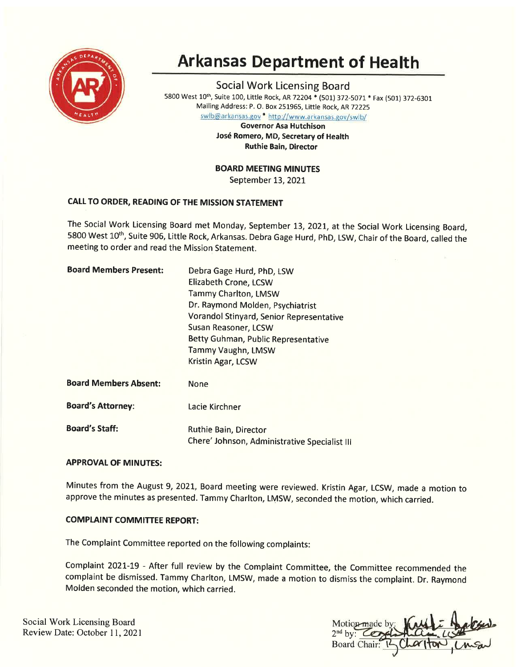

# **Arkansas Department of Health**

Social Work Licensing Board 5800 West 10<sup>th</sup>, Suite 100, Little Rock, AR 72204 \* (501) 372-5071 \* Fax (501) 372-6301 Mailing Address: P. O. Box 251965, Little Rock, AR 72225

swlb@arkansas.gov \* http://www.arkansas.gov/swlb/

Governor Asa Hutchison José Romero, MD, Secretary of Health Ruthie Bain, Director

BOARD MEETING MINUTES

September 13, 2021

## CALL TO ORDER, READING OF THE MISSION STATEMENT

The Social Work Licensing Board met Monday, September 13,2O2I, at the Social Work Licensing Board, 5800 West 10<sup>th</sup>, Suite 906, Little Rock, Arkansas. Debra Gage Hurd, PhD, LSW, Chair of the Board, called the meeting to order and read the Mission Statement.

| <b>Board Members Present:</b> | Debra Gage Hurd, PhD, LSW                     |
|-------------------------------|-----------------------------------------------|
|                               | Elizabeth Crone, LCSW                         |
|                               | <b>Tammy Charlton, LMSW</b>                   |
|                               | Dr. Raymond Molden, Psychiatrist              |
|                               | Vorandol Stinyard, Senior Representative      |
|                               | <b>Susan Reasoner, LCSW</b>                   |
|                               | Betty Guhman, Public Representative           |
|                               | Tammy Vaughn, LMSW                            |
|                               | Kristin Agar, LCSW                            |
| <b>Board Members Absent:</b>  | <b>None</b>                                   |
| <b>Board's Attorney:</b>      | Lacie Kirchner                                |
| <b>Board's Staff:</b>         | Ruthie Bain, Director                         |
|                               | Chere' Johnson, Administrative Specialist III |

## APPROVAL OF MINUTES:

Minutes from the August 9,2O2L, Board meeting were reviewed. Kristin Agar, LCSW, made a motion to approve the minutes as presented. Tammy Charlton, LMSW, seconded the motion, which carried.

## **COMPLAINT COMMITTEE REPORT:**

The Complaint Committee reported on the following complaints:

Complaint 2021-19 - After full review by the Complaint Committee, the Committee recommended the complaint be dismissed. Tammy Charlton, LMSW, made a motion to dismiss the complaint. Dr. Raymond Molden seconded the motion, which carried.

Social Work Licensing Board Social Work Licensing Board<br>
Review Date: October 11, 2021<br>
2<sup>nd</sup> by: COX

**Board** Chair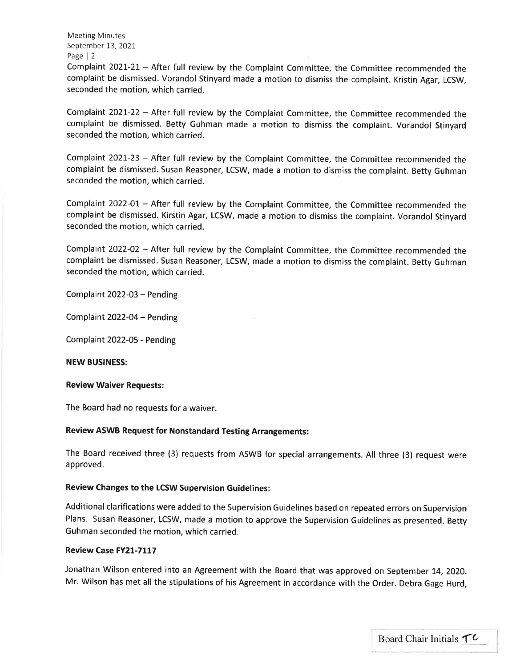Meeting Minutes September 13, 2021 Page | <sup>2</sup>

Complaint 2021-21 - After full review by the Complaint Committee, the Committee recommended the complaint be dismissed. Vorandol Stinyard made a motion to dismiss the complaint. Kristin Agar, LCSW, seconded the motion, which carried.

Complaint 2O2L-22 - After full review by the Complaint Committee, the Committee recommended the complaint be dismissed. Betty Guhman made a motion to dismiss the complaint. Vorandol Stinyard seconded the motion, which carried.

Complaint 2021-23 - After full review by the Complaint Committee, the Committee recommended the complaint be dismissed. Susan Reasoner, LCSW, made a motion to dismiss the complaint. Betty Guhman seconded the motion, which carried.

Complaint 2022-01 - After full review by the Complaint Committee, the Committee recommended the complaint be dismissed. Kirstin Agar, LCSW, made a motion to dismiss the complaint. Vorandol Stinyard seconded the motion, which carried.

Complaint 2022-02 - After full review by the Complaint Committee, the Committee recommended the complaint be dismissed. Susan Reasoner, LCSW, made a motion to dismiss the complaint. Betty Guhman seconded the motion, which carried.

Complaint 2022-03 - Pending

Complaint  $2022-04$  – Pending

Complaint 2022-OS - Pending

NEW BUSINESS:

#### Review Waiver Requests:

The Board had no requests for a waiver.

## Review ASWB Request for Nonstandard Testing Arrangements:

The Board received three (3) requests from ASWB for special arrangements. All three (3) request were approved.

### Review Changes to the LCSW Supervision Guidelines:

Additional clarifications were added to the Supervision Guidelines based on repeated errors on Supervision Plans. Susan Reasoner, LCSW, made a motion to approve the Supervision Guidelines as presented. Betty Guhman seconded the motion, which carried.

#### Review Case FY21-7117

Jonathan Wilson entered into an Agreement with the Board that was approved on September 14, 2020. Mr. Wilson has met all the stipulations of his Agreement in accordance with the Order. Debra Gage Hurd,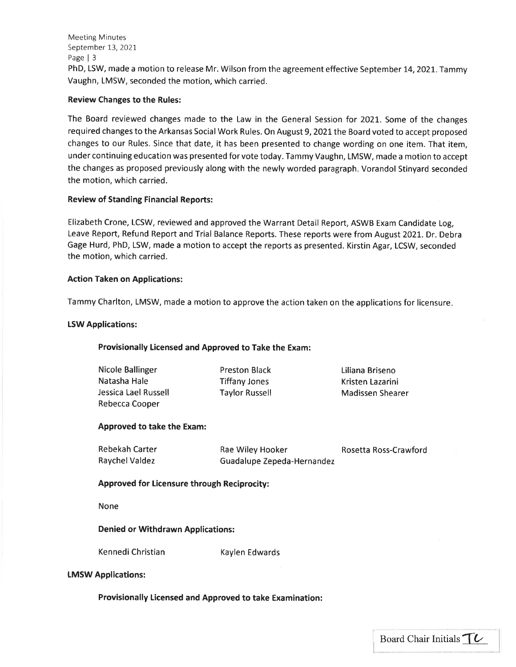Meeting Minutes September 13, 2021 Page | <sup>3</sup> PhD, LSW, made a motion to release Mr. Wilson from the agreement effective September 14, 2021. Tammy Vaughn, LMSW, seconded the motion, which carried.

## Review Changes to the Rules:

The Board reviewed changes made to the Law in the General Session for 2021,. Some of the changes required changes to the Arkansas Social Work Rules. On August 9, 2021 the Board voted to accept proposed changes to our Rules. Since that date, it has been presented to change wording on one item. That item, under continuing education was presented for vote today. Tammy Vaughn, LMSW, made a motion to accept the changes as proposed previously along with the newly worded paragraph. Vorandol Stinyard seconded the motion, which carried.

## Review of Standing Financial Reports:

Elizabeth Crone, LCSW, reviewed and approved the Warrant Detail Report, ASWB Exam Candidate Log, Leave Report, Refund Report and Trial Balance Reports. These reports were from August 202L. Dr. Debra Gage Hurd, PhD, LSW, made a motion to accept the reports as presented. Kirstin Agar, LCSW, seconded the motion, which carried.

### Action Taken on Applications:

Tammy Charlton, LMSW, made a motion to approve the action taken on the applications for licensure

### **LSW Applications:**

## Provisionally Licensed and Approved to Take the Exam:

| Nicole Ballinger     |
|----------------------|
| Natasha Hale         |
| Jessica Lael Russell |
| Rebecca Cooper       |

Preston Black Tiffany Jones Taylor Russell Liliana Briseno Kristen Lazarini Madissen Shearer

i.

## Approved to take the Exam:

| Rebekah Carter |
|----------------|
| Raychel Valdez |

Rae Wiley Hooker Guadalupe Zepeda-Hernandez Rosetta Ross-Crawford

## Approved for Licensure through Reciprocity:

None

Denied or Withdrawn Applications:

Kennedi Christian Kaylen Edwards

### tMSW Applications:

Provisionally Licensed and Approved to take Examination: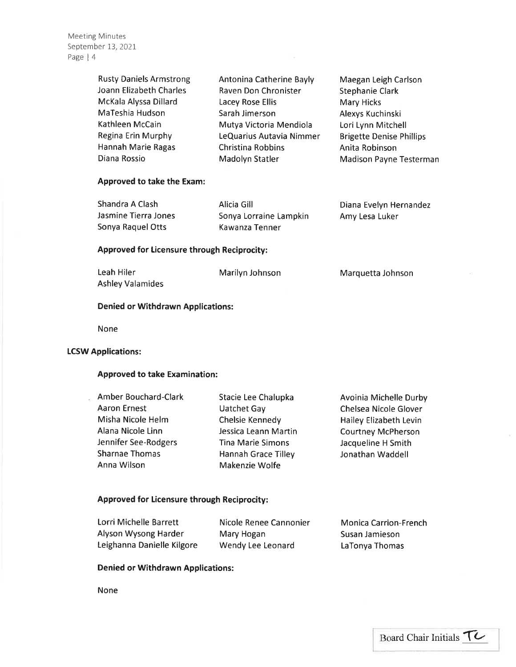Meeting Minutes September 13, 2021 Page | 4

| <b>Rusty Daniels Armstrong</b> | Antonina Catherine Bayly | Maegan Leigh Carlson            |
|--------------------------------|--------------------------|---------------------------------|
| Joann Elizabeth Charles        | Raven Don Chronister     | <b>Stephanie Clark</b>          |
| McKala Alyssa Dillard          | Lacey Rose Ellis         | <b>Mary Hicks</b>               |
| MaTeshia Hudson                | Sarah Jimerson           | Alexys Kuchinski                |
| Kathleen McCain                | Mutya Victoria Mendiola  | Lori Lynn Mitchell              |
| Regina Erin Murphy             | LeQuarius Autavia Nimmer | <b>Brigette Denise Phillips</b> |
| Hannah Marie Ragas             | <b>Christina Robbins</b> | Anita Robinson                  |
| Diana Rossio                   | Madolyn Statler          | <b>Madison Payne Testerman</b>  |
|                                |                          |                                 |

## Approved to take the Exam:

| Shandra A Clash      | Alicia Gill            | Diana Evelyn Hernandez |
|----------------------|------------------------|------------------------|
| Jasmine Tierra Jones | Sonya Lorraine Lampkin | Amy Lesa Luker         |
| Sonya Raquel Otts    | Kawanza Tenner         |                        |

## Approved for Licensure through Reciprocity:

| Leah Hiler              | Marilyn Johnson | Marquetta Johnson |
|-------------------------|-----------------|-------------------|
| <b>Ashley Valamides</b> |                 |                   |

# Denied or Withdrawn Applications:

None

#### LCSW Applications:

 $\tilde{\alpha}$ 

#### Approved to take Examination:

| <b>Amber Bouchard-Clark</b> | Stacie Lee Chalupka        | Avoinia Michelle Durby        |
|-----------------------------|----------------------------|-------------------------------|
| <b>Aaron Ernest</b>         | <b>Uatchet Gay</b>         | Chelsea Nicole Glover         |
| Misha Nicole Helm           | Chelsie Kennedy            | <b>Hailey Elizabeth Levin</b> |
| Alana Nicole Linn           | Jessica Leann Martin       | <b>Courtney McPherson</b>     |
| Jennifer See-Rodgers        | <b>Tina Marie Simons</b>   | Jacqueline H Smith            |
| <b>Sharnae Thomas</b>       | <b>Hannah Grace Tilley</b> | Jonathan Waddell              |
| Anna Wilson                 | Makenzie Wolfe             |                               |

## Approved for Licensure through Reciprocity:

| Lorri Michelle Barrett     | Nicole Renee Cannonier | <b>Monica Carrion-French</b> |
|----------------------------|------------------------|------------------------------|
| Alyson Wysong Harder       | Mary Hogan             | Susan Jamieson               |
| Leighanna Danielle Kilgore | Wendy Lee Leonard      | LaTonya Thomas               |

## Denied or Withdrawn Applications:

None

¥